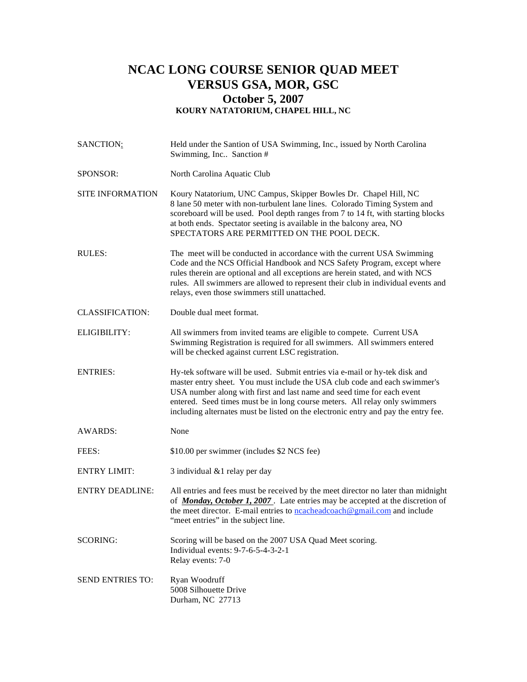## **NCAC LONG COURSE SENIOR QUAD MEET VERSUS GSA, MOR, GSC October 5, 2007 KOURY NATATORIUM, CHAPEL HILL, NC**

| SANCTION:               | Held under the Santion of USA Swimming, Inc., issued by North Carolina<br>Swimming, Inc Sanction #                                                                                                                                                                                                                                                                                                    |  |  |
|-------------------------|-------------------------------------------------------------------------------------------------------------------------------------------------------------------------------------------------------------------------------------------------------------------------------------------------------------------------------------------------------------------------------------------------------|--|--|
| SPONSOR:                | North Carolina Aquatic Club                                                                                                                                                                                                                                                                                                                                                                           |  |  |
| <b>SITE INFORMATION</b> | Koury Natatorium, UNC Campus, Skipper Bowles Dr. Chapel Hill, NC<br>8 lane 50 meter with non-turbulent lane lines. Colorado Timing System and<br>scoreboard will be used. Pool depth ranges from 7 to 14 ft, with starting blocks<br>at both ends. Spectator seeting is available in the balcony area, NO<br>SPECTATORS ARE PERMITTED ON THE POOL DECK.                                               |  |  |
| RULES:                  | The meet will be conducted in accordance with the current USA Swimming<br>Code and the NCS Official Handbook and NCS Safety Program, except where<br>rules therein are optional and all exceptions are herein stated, and with NCS<br>rules. All swimmers are allowed to represent their club in individual events and<br>relays, even those swimmers still unattached.                               |  |  |
| <b>CLASSIFICATION:</b>  | Double dual meet format.                                                                                                                                                                                                                                                                                                                                                                              |  |  |
| ELIGIBILITY:            | All swimmers from invited teams are eligible to compete. Current USA<br>Swimming Registration is required for all swimmers. All swimmers entered<br>will be checked against current LSC registration.                                                                                                                                                                                                 |  |  |
| <b>ENTRIES:</b>         | Hy-tek software will be used. Submit entries via e-mail or hy-tek disk and<br>master entry sheet. You must include the USA club code and each swimmer's<br>USA number along with first and last name and seed time for each event<br>entered. Seed times must be in long course meters. All relay only swimmers<br>including alternates must be listed on the electronic entry and pay the entry fee. |  |  |
| <b>AWARDS:</b>          | None                                                                                                                                                                                                                                                                                                                                                                                                  |  |  |
| FEES:                   | \$10.00 per swimmer (includes \$2 NCS fee)                                                                                                                                                                                                                                                                                                                                                            |  |  |
| <b>ENTRY LIMIT:</b>     | 3 individual & 1 relay per day                                                                                                                                                                                                                                                                                                                                                                        |  |  |
| <b>ENTRY DEADLINE:</b>  | All entries and fees must be received by the meet director no later than midnight<br>of <i>Monday, October 1, 2007</i> . Late entries may be accepted at the discretion of<br>the meet director. E-mail entries to $\frac{ncacheadooach@gmail.com}{mallacon}$ and include<br>"meet entries" in the subject line.                                                                                      |  |  |
| <b>SCORING:</b>         | Scoring will be based on the 2007 USA Quad Meet scoring.<br>Individual events: 9-7-6-5-4-3-2-1<br>Relay events: 7-0                                                                                                                                                                                                                                                                                   |  |  |
| SEND ENTRIES TO:        | Ryan Woodruff<br>5008 Silhouette Drive<br>Durham, NC 27713                                                                                                                                                                                                                                                                                                                                            |  |  |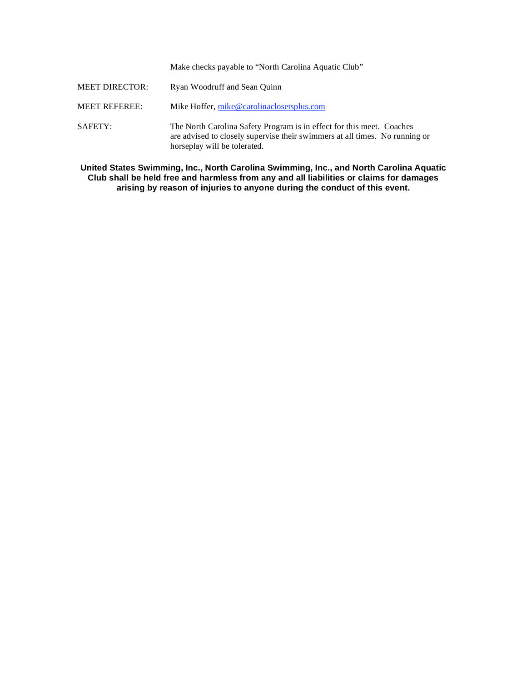Make checks payable to "North Carolina Aquatic Club"

| <b>MEET DIRECTOR:</b> | Ryan Woodruff and Sean Quinn                                                                                                                                                         |
|-----------------------|--------------------------------------------------------------------------------------------------------------------------------------------------------------------------------------|
| <b>MEET REFEREE:</b>  | Mike Hoffer, mike@carolinaclosetsplus.com                                                                                                                                            |
| SAFETY:               | The North Carolina Safety Program is in effect for this meet. Coaches<br>are advised to closely supervise their swimmers at all times. No running or<br>horseplay will be tolerated. |

**United States Swimming, Inc., North Carolina Swimming, Inc., and North Carolina Aquatic Club shall be held free and harmless from any and all liabilities or claims for damages arising by reason of injuries to anyone during the conduct of this event.**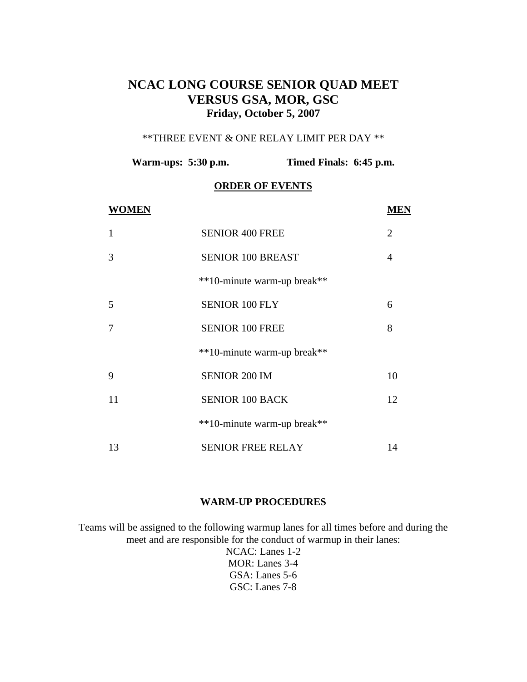## **NCAC LONG COURSE SENIOR QUAD MEET VERSUS GSA, MOR, GSC Friday, October 5, 2007**

#### \*\*THREE EVENT & ONE RELAY LIMIT PER DAY \*\*

**Warm-ups: 5:30 p.m. Timed Finals: 6:45 p.m.** 

### **ORDER OF EVENTS**

| WOMEN |                             | VIEN           |
|-------|-----------------------------|----------------|
| 1     | <b>SENIOR 400 FREE</b>      | $\overline{2}$ |
| 3     | <b>SENIOR 100 BREAST</b>    | 4              |
|       | **10-minute warm-up break** |                |
| 5     | <b>SENIOR 100 FLY</b>       | 6              |
| 7     | <b>SENIOR 100 FREE</b>      | 8              |
|       | **10-minute warm-up break** |                |
| 9     | SENIOR 200 IM               | 10             |
| 11    | <b>SENIOR 100 BACK</b>      | 12             |
|       | **10-minute warm-up break** |                |
| 13    | <b>SENIOR FREE RELAY</b>    | 14             |

#### **WARM-UP PROCEDURES**

Teams will be assigned to the following warmup lanes for all times before and during the meet and are responsible for the conduct of warmup in their lanes: NCAC: Lanes 1-2

MOR: Lanes 3-4 GSA: Lanes 5-6 GSC: Lanes 7-8